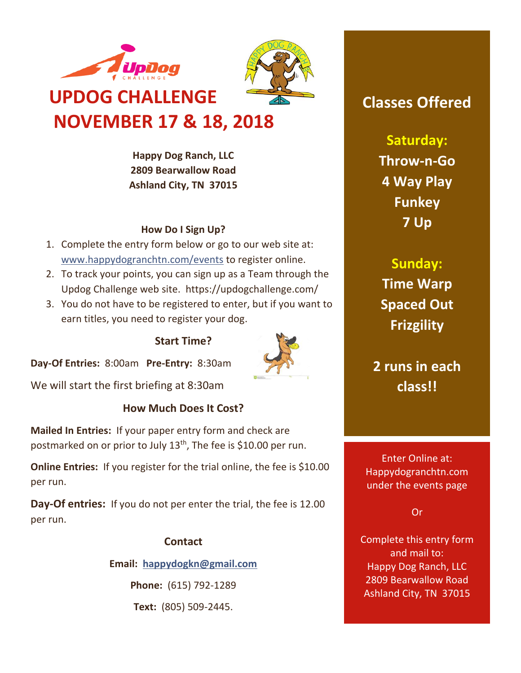

**Happy Dog Ranch, LLC 2809 Bearwallow Road Ashland City, TN 37015**

### **How Do I Sign Up?**

- 1. Complete the entry form below or go to our web site at: [www.happydogranchtn.com/events](http://www.happydogranchtn.com/events) to register online.
- 2. To track your points, you can sign up as a Team through the Updog Challenge web site. https://updogchallenge.com/
- 3. You do not have to be registered to enter, but if you want to earn titles, you need to register your dog.

## **Start Time?**

**Day-Of Entries:** 8:00am **Pre-Entry:** 8:30am

We will start the first briefing at 8:30am

## **How Much Does It Cost?**

**Mailed In Entries:** If your paper entry form and check are postmarked on or prior to July 13<sup>th</sup>, The fee is \$10.00 per run.

**Online Entries:** If you register for the trial online, the fee is \$10.00 per run.

**Day-Of entries:** If you do not per enter the trial, the fee is 12.00 per run.

## **Contact**

**Email: [happydogkn@gmail.com](mailto:happydogkn@gmail.com)**

**Phone:** (615) 792-1289

**Text:** (805) 509-2445.

# **Classes Offered**

**Saturday: Throw-n-Go 4 Way Play Funkey 7 Up**

**Sunday: Time Warp Spaced Out Frizgility**

**2 runs in each class!!**

Enter Online at: Happydogranchtn.com under the events page

Or

Complete this entry form and mail to: Happy Dog Ranch, LLC 2809 Bearwallow Road Ashland City, TN 37015

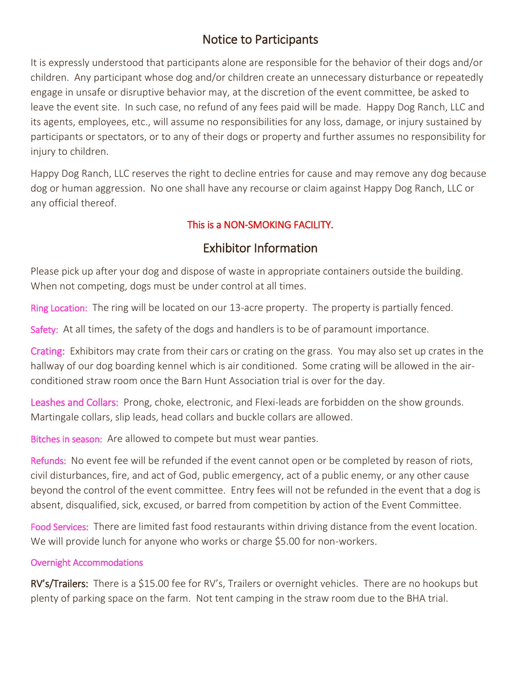## Notice to Participants

It is expressly understood that participants alone are responsible for the behavior of their dogs and/or children. Any participant whose dog and/or children create an unnecessary disturbance or repeatedly engage in unsafe or disruptive behavior may, at the discretion of the event committee, be asked to leave the event site. In such case, no refund of any fees paid will be made. Happy Dog Ranch, LLC and its agents, employees, etc., will assume no responsibilities for any loss, damage, or injury sustained by participants or spectators, or to any of their dogs or property and further assumes no responsibility for injury to children.

Happy Dog Ranch, LLC reserves the right to decline entries for cause and may remove any dog because dog or human aggression. No one shall have any recourse or claim against Happy Dog Ranch, LLC or any official thereof.

## This is a NON-SMOKING FACILITY.

## Exhibitor Information

Please pick up after your dog and dispose of waste in appropriate containers outside the building. When not competing, dogs must be under control at all times.

Ring Location: The ring will be located on our 13-acre property. The property is partially fenced.

Safety: At all times, the safety of the dogs and handlers is to be of paramount importance.

Crating: Exhibitors may crate from their cars or crating on the grass. You may also set up crates in the hallway of our dog boarding kennel which is air conditioned. Some crating will be allowed in the airconditioned straw room once the Barn Hunt Association trial is over for the day.

Leashes and Collars: Prong, choke, electronic, and Flexi-leads are forbidden on the show grounds. Martingale collars, slip leads, head collars and buckle collars are allowed.

Bitches in season: Are allowed to compete but must wear panties.

Refunds: No event fee will be refunded if the event cannot open or be completed by reason of riots, civil disturbances, fire, and act of God, public emergency, act of a public enemy, or any other cause beyond the control of the event committee. Entry fees will not be refunded in the event that a dog is absent, disqualified, sick, excused, or barred from competition by action of the Event Committee.

Food Services: There are limited fast food restaurants within driving distance from the event location. We will provide lunch for anyone who works or charge \$5.00 for non-workers.

## Overnight Accommodations

RV's/Trailers: There is a \$15.00 fee for RV's, Trailers or overnight vehicles. There are no hookups but plenty of parking space on the farm. Not tent camping in the straw room due to the BHA trial.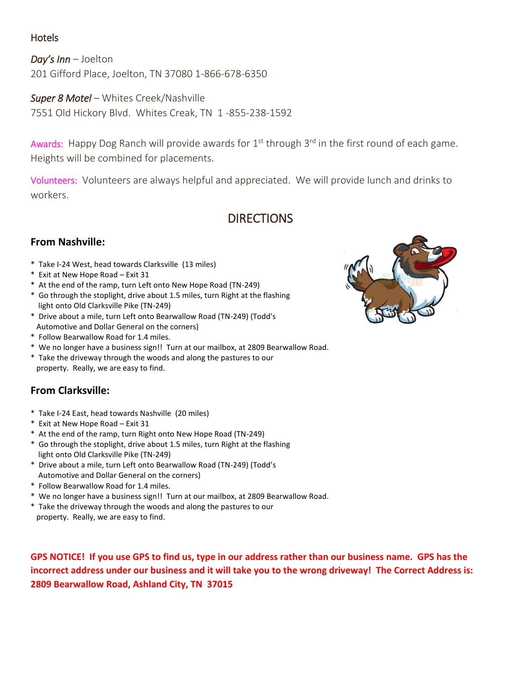### Hotels

*Day's Inn* – Joelton 201 Gifford Place, Joelton, TN 37080 1-866-678-6350

*Super 8 Motel* – Whites Creek/Nashville 7551 Old Hickory Blvd. Whites Creak, TN 1 -855-238-1592

Awards: Happy Dog Ranch will provide awards for  $1<sup>st</sup>$  through  $3<sup>rd</sup>$  in the first round of each game. Heights will be combined for placements.

Volunteers: Volunteers are always helpful and appreciated. We will provide lunch and drinks to workers.

## **DIRECTIONS**

### **From Nashville:**

- \* Take I-24 West, head towards Clarksville (13 miles)
- \* Exit at New Hope Road Exit 31
- \* At the end of the ramp, turn Left onto New Hope Road (TN-249)
- \* Go through the stoplight, drive about 1.5 miles, turn Right at the flashing light onto Old Clarksville Pike (TN-249)
- \* Drive about a mile, turn Left onto Bearwallow Road (TN-249) (Todd's Automotive and Dollar General on the corners)
- \* Follow Bearwallow Road for 1.4 miles.
- \* We no longer have a business sign!! Turn at our mailbox, at 2809 Bearwallow Road.
- \* Take the driveway through the woods and along the pastures to our property. Really, we are easy to find.

## **From Clarksville:**

- \* Take I-24 East, head towards Nashville (20 miles)
- \* Exit at New Hope Road Exit 31
- \* At the end of the ramp, turn Right onto New Hope Road (TN-249)
- \* Go through the stoplight, drive about 1.5 miles, turn Right at the flashing light onto Old Clarksville Pike (TN-249)
- \* Drive about a mile, turn Left onto Bearwallow Road (TN-249) (Todd's Automotive and Dollar General on the corners)
- \* Follow Bearwallow Road for 1.4 miles.
- \* We no longer have a business sign!! Turn at our mailbox, at 2809 Bearwallow Road.
- \* Take the driveway through the woods and along the pastures to our property. Really, we are easy to find.

**GPS NOTICE! If you use GPS to find us, type in our address rather than our business name. GPS has the incorrect address under our business and it will take you to the wrong driveway! The Correct Address is: 2809 Bearwallow Road, Ashland City, TN 37015**

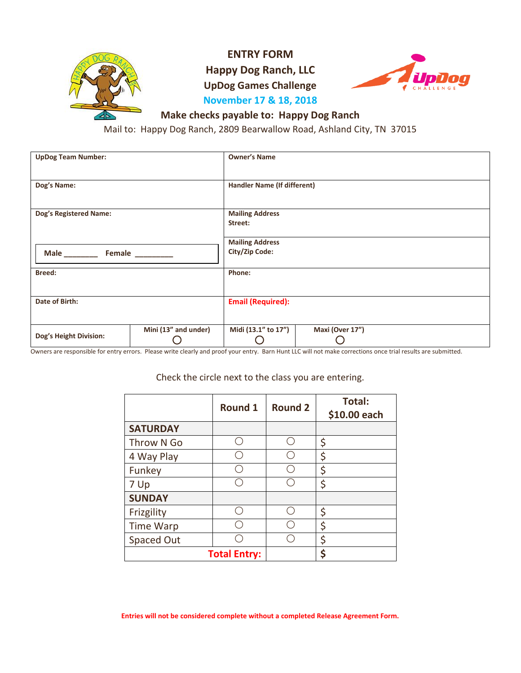

**ENTRY FORM**

**Happy Dog Ranch, LLC**

**UpDog Games Challenge**



## **November 17 & 18, 2018**

### **Make checks payable to: Happy Dog Ranch**

Mail to: Happy Dog Ranch, 2809 Bearwallow Road, Ashland City, TN 37015

| <b>UpDog Team Number:</b>     |                      | <b>Owner's Name</b>                      |                 |  |  |
|-------------------------------|----------------------|------------------------------------------|-----------------|--|--|
| Dog's Name:                   |                      | <b>Handler Name (If different)</b>       |                 |  |  |
| <b>Dog's Registered Name:</b> |                      | <b>Mailing Address</b><br>Street:        |                 |  |  |
| Female                        |                      | <b>Mailing Address</b><br>City/Zip Code: |                 |  |  |
| <b>Breed:</b>                 |                      | Phone:                                   |                 |  |  |
| Date of Birth:                |                      | <b>Email (Required):</b>                 |                 |  |  |
| Dog's Height Division:        | Mini (13" and under) | Midi (13.1" to 17")                      | Maxi (Over 17") |  |  |

Owners are responsible for entry errors. Please write clearly and proof your entry. Barn Hunt LLC will not make corrections once trial results are submitted.

### Check the circle next to the class you are entering.

|                   | <b>Round 1</b>      | <b>Round 2</b> | <b>Total:</b><br>\$10.00 each |
|-------------------|---------------------|----------------|-------------------------------|
| <b>SATURDAY</b>   |                     |                |                               |
| Throw N Go        |                     |                | \$                            |
| 4 Way Play        |                     |                | \$                            |
| Funkey            |                     |                | \$                            |
| 7 Up              |                     |                | \$                            |
| <b>SUNDAY</b>     |                     |                |                               |
| Frizgility        |                     |                | \$                            |
| <b>Time Warp</b>  |                     |                | \$                            |
| <b>Spaced Out</b> |                     |                | \$                            |
|                   | <b>Total Entry:</b> |                | \$                            |

**Entries will not be considered complete without a completed Release Agreement Form.**